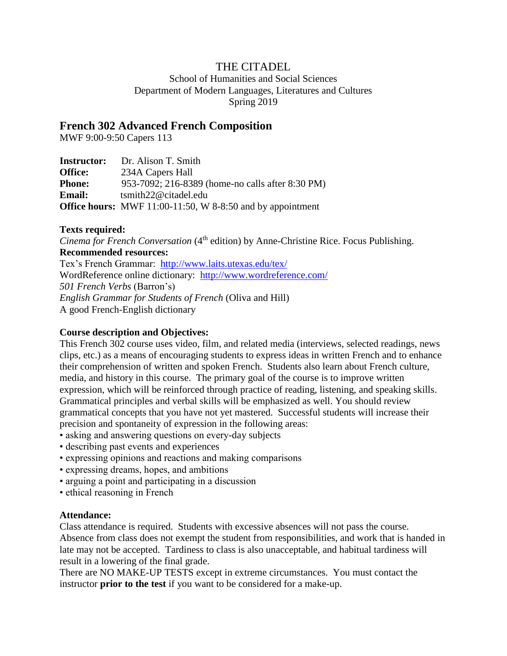## THE CITADEL

School of Humanities and Social Sciences Department of Modern Languages, Literatures and Cultures Spring 2019

### **French 302 Advanced French Composition**

MWF 9:00-9:50 Capers 113

| <b>Instructor:</b> | Dr. Alison T. Smith                                                  |
|--------------------|----------------------------------------------------------------------|
| <b>Office:</b>     | 234A Capers Hall                                                     |
| <b>Phone:</b>      | 953-7092; 216-8389 (home-no calls after 8:30 PM)                     |
| <b>Email:</b>      | $t$ smith22@citadel.edu                                              |
|                    | <b>Office hours:</b> MWF $11:00-11:50$ , W 8-8:50 and by appointment |

#### **Texts required:**

*Cinema for French Conversation* (4<sup>th</sup> edition) by Anne-Christine Rice. Focus Publishing. **Recommended resources:**

Tex's French Grammar: <http://www.laits.utexas.edu/tex/> WordReference online dictionary: <http://www.wordreference.com/> *501 French Verbs* (Barron's) *English Grammar for Students of French* (Oliva and Hill) A good French-English dictionary

#### **Course description and Objectives:**

This French 302 course uses video, film, and related media (interviews, selected readings, news clips, etc.) as a means of encouraging students to express ideas in written French and to enhance their comprehension of written and spoken French. Students also learn about French culture, media, and history in this course. The primary goal of the course is to improve written expression, which will be reinforced through practice of reading, listening, and speaking skills. Grammatical principles and verbal skills will be emphasized as well. You should review grammatical concepts that you have not yet mastered. Successful students will increase their precision and spontaneity of expression in the following areas:

- asking and answering questions on every-day subjects
- describing past events and experiences
- expressing opinions and reactions and making comparisons
- expressing dreams, hopes, and ambitions
- arguing a point and participating in a discussion
- ethical reasoning in French

#### **Attendance:**

Class attendance is required. Students with excessive absences will not pass the course. Absence from class does not exempt the student from responsibilities, and work that is handed in late may not be accepted. Tardiness to class is also unacceptable, and habitual tardiness will result in a lowering of the final grade.

There are NO MAKE-UP TESTS except in extreme circumstances. You must contact the instructor **prior to the test** if you want to be considered for a make-up.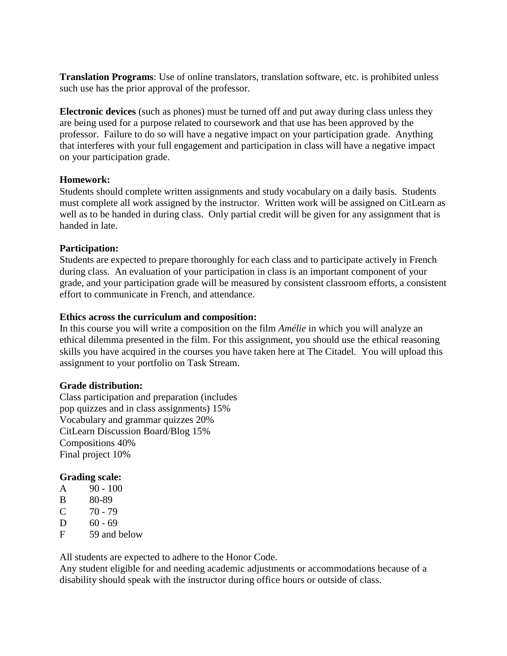**Translation Programs**: Use of online translators, translation software, etc. is prohibited unless such use has the prior approval of the professor.

**Electronic devices** (such as phones) must be turned off and put away during class unless they are being used for a purpose related to coursework and that use has been approved by the professor. Failure to do so will have a negative impact on your participation grade. Anything that interferes with your full engagement and participation in class will have a negative impact on your participation grade.

#### **Homework:**

Students should complete written assignments and study vocabulary on a daily basis. Students must complete all work assigned by the instructor. Written work will be assigned on CitLearn as well as to be handed in during class. Only partial credit will be given for any assignment that is handed in late.

#### **Participation:**

Students are expected to prepare thoroughly for each class and to participate actively in French during class. An evaluation of your participation in class is an important component of your grade, and your participation grade will be measured by consistent classroom efforts, a consistent effort to communicate in French, and attendance.

#### **Ethics across the curriculum and composition:**

In this course you will write a composition on the film *Amélie* in which you will analyze an ethical dilemma presented in the film. For this assignment, you should use the ethical reasoning skills you have acquired in the courses you have taken here at The Citadel. You will upload this assignment to your portfolio on Task Stream.

#### **Grade distribution:**

Class participation and preparation (includes pop quizzes and in class assignments) 15% Vocabulary and grammar quizzes 20% CitLearn Discussion Board/Blog 15% Compositions 40% Final project 10%

#### **Grading scale:**

- $A = 90 100$
- B 80-89
- $C = 70 79$
- D  $60 69$
- F 59 and below

All students are expected to adhere to the Honor Code.

Any student eligible for and needing academic adjustments or accommodations because of a disability should speak with the instructor during office hours or outside of class.